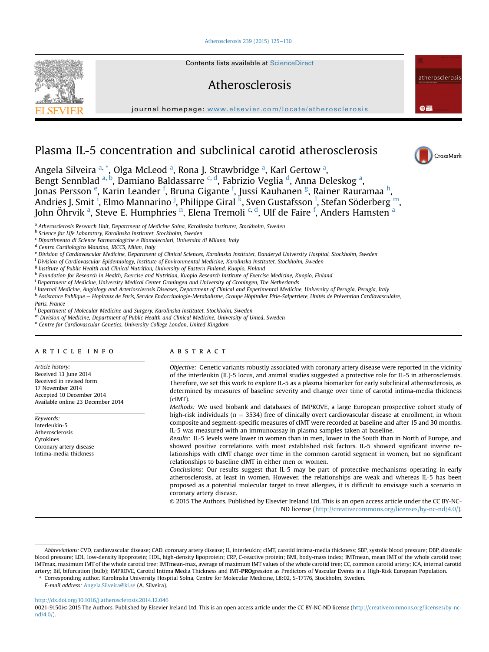## [Atherosclerosis 239 \(2015\) 125](http://dx.doi.org/10.1016/j.atherosclerosis.2014.12.046)-[130](http://dx.doi.org/10.1016/j.atherosclerosis.2014.12.046)



Contents lists available at ScienceDirect

# Atherosclerosis

journal homepage: [www.elsevier.com/locate/atherosclerosis](http://www.elsevier.com/locate/atherosclerosis)

# Plasma IL-5 concentration and subclinical carotid atherosclerosis

Angela Silveira <sup>a, \*</sup>, Olga McLeod <sup>a</sup>, Rona J. Strawbridge <sup>a</sup>, Karl Gertow <sup>a</sup>,

Bengt Sennblad <sup>a, b</sup>, Damiano Baldassarre <sup>c, d</sup>, Fabrizio Veglia <sup>d</sup>, Anna Deleskog <sup>a</sup>, Jonas Persson <sup>e</sup>, Karin Leander <sup>f</sup>, Bruna Gigante <sup>f</sup>, Jussi Kauhanen <sup>g</sup>, Rainer Rauramaa <sup>h</sup>, Andries J. Smit <sup>i</sup>, Elmo Mannarino <sup>j</sup>, Philippe Giral <sup>k</sup>, Sven Gustafsson <sup>1</sup>, Stefan Söderberg <sup>m</sup>, John Öhrvik <sup>a</sup>, Steve E. Humphries <sup>n</sup>, Elena Tremoli <sup>c, d</sup>, Ulf de Faire <sup>f</sup>, Anders Hamsten <sup>a</sup>

<sup>a</sup> Atherosclerosis Research Unit, Department of Medicine Solna, Karolinska Institutet, Stockholm, Sweden

b Science for Life Laboratory, Karolinska Institutet, Stockholm, Sweden

<sup>c</sup> Dipartimento di Scienze Farmacologiche e Biomolecolari, Università di Milano, Italy

<sup>d</sup> Centro Cardiologico Monzino, IRCCS, Milan, Italy

e Division of Cardiovascular Medicine, Department of Clinical Sciences, Karolinska Institutet, Danderyd University Hospital, Stockholm, Sweden

<sup>f</sup> Division of Cardiovascular Epidemiology, Institute of Environmental Medicine, Karolinska Institutet, Stockholm, Sweden

<sup>g</sup> Institute of Public Health and Clinical Nutrition, University of Eastern Finland, Kuopio, Finland

h Foundation for Research in Health, Exercise and Nutrition, Kuopio Research Institute of Exercise Medicine, Kuopio, Finland

<sup>i</sup> Department of Medicine, University Medical Center Groningen and University of Groningen, The Netherlands

<sup>j</sup> Internal Medicine, Angiology and Arteriosclerosis Diseases, Department of Clinical and Experimental Medicine, University of Perugia, Perugia, Italy

k Assistance Publique  $-$  Hopitaux de Paris, Service Endocrinologie-Metabolisme, Groupe Hôpitalier Pitie-Salpetriere, Unités de Prévention Cardiovasculaire,

Paris, France

<sup>1</sup> Department of Molecular Medicine and Surgery, Karolinska Institutet, Stockholm, Sweden

<sup>m</sup> Division of Medicine, Department of Public Health and Clinical Medicine, University of Umeå, Sweden

<sup>n</sup> Centre for Cardiovascular Genetics, University College London, United Kingdom

## article info

Article history: Received 13 June 2014 Received in revised form 17 November 2014 Accepted 10 December 2014 Available online 23 December 2014

Keywords: Interleukin-5 Atherosclerosis Cytokines Coronary artery disease Intima-media thickness

## ABSTRACT

Objective: Genetic variants robustly associated with coronary artery disease were reported in the vicinity of the interleukin (IL)-5 locus, and animal studies suggested a protective role for IL-5 in atherosclerosis. Therefore, we set this work to explore IL-5 as a plasma biomarker for early subclinical atherosclerosis, as determined by measures of baseline severity and change over time of carotid intima-media thickness (cIMT).

Methods: We used biobank and databases of IMPROVE, a large European prospective cohort study of high-risk individuals ( $n = 3534$ ) free of clinically overt cardiovascular disease at enrollment, in whom composite and segment-specific measures of cIMT were recorded at baseline and after 15 and 30 months. IL-5 was measured with an immunoassay in plasma samples taken at baseline.

Results: IL-5 levels were lower in women than in men, lower in the South than in North of Europe, and showed positive correlations with most established risk factors. IL-5 showed significant inverse relationships with cIMT change over time in the common carotid segment in women, but no significant relationships to baseline cIMT in either men or women.

Conclusions: Our results suggest that IL-5 may be part of protective mechanisms operating in early atherosclerosis, at least in women. However, the relationships are weak and whereas IL-5 has been proposed as a potential molecular target to treat allergies, it is difficult to envisage such a scenario in coronary artery disease.

© 2015 The Authors. Published by Elsevier Ireland Ltd. This is an open access article under the CC BY-NC-ND license [\(http://creativecommons.org/licenses/by-nc-nd/4.0/](http://creativecommons.org/licenses/by-nc-nd/4.�0/)).

\* Corresponding author. Karolinska University Hospital Solna, Centre for Molecular Medicine, L8:02, S-17176, Stockholm, Sweden.

E-mail address: [Angela.Silveira@ki.se](mailto:Angela.Silveira@ki.se) (A. Silveira).

<http://dx.doi.org/10.1016/j.atherosclerosis.2014.12.046>

0021-9150/© 2015 The Authors. Published by Elsevier Ireland Ltd. This is an open access article under the CC BY-NC-ND license [\(http://creativecommons.org/licenses/by-nc](http://creativecommons.org/licenses/by-nc-nd/4.�0/)[nd/4.0/](http://creativecommons.org/licenses/by-nc-nd/4.�0/)).



atherosclerosi:

 $\bullet$   $\bullet$ 

Abbreviations: CVD, cardiovascular disease; CAD, coronary artery disease; IL, interleukin; cIMT, carotid intima-media thickness; SBP, systolic blood pressure; DBP, diastolic blood pressure; LDL, low-density lipoprotein; HDL, high-density lipoprotein; CRP, C-reactive protein; BMI, body-mass index; IMTmean, mean IMT of the whole carotid tree; IMTmax, maximum IMT of the whole carotid tree; IMTmean-max, average of maximum IMT values of the whole carotid tree; CC, common carotid artery; ICA, internal carotid artery; Bif, bifurcation (bulb); IMPROVE, Carotid Intima Media Thickness and IMT-PROgression as Predictors of Vascular Events in a High-Risk European Population.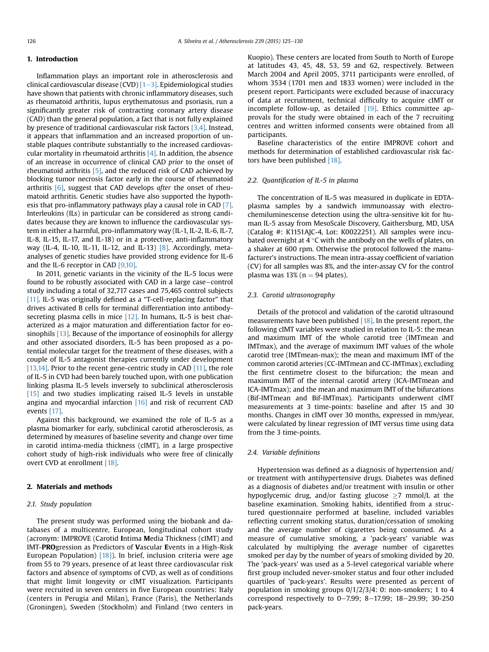# 1. Introduction

Inflammation plays an important role in atherosclerosis and clinical cardiovascular disease (CVD)  $[1-3]$  $[1-3]$  $[1-3]$ . Epidemiological studies have shown that patients with chronic inflammatory diseases, such as rheumatoid arthritis, lupus erythematosus and psoriasis, run a significantly greater risk of contracting coronary artery disease (CAD) than the general population, a fact that is not fully explained by presence of traditional cardiovascular risk factors [\[3,4\]](#page-5-0). Instead, it appears that inflammation and an increased proportion of unstable plaques contribute substantially to the increased cardiovascular mortality in rheumatoid arthritis  $[4]$ . In addition, the absence of an increase in occurrence of clinical CAD prior to the onset of rheumatoid arthritis  $[5]$ , and the reduced risk of CAD achieved by blocking tumor necrosis factor early in the course of rheumatoid arthritis  $[6]$ , suggest that CAD develops *after* the onset of rheumatoid arthritis. Genetic studies have also supported the hypothesis that pro-inflammatory pathways play a causal role in CAD [\[7\].](#page-5-0) Interleukins (ILs) in particular can be considered as strong candidates because they are known to influence the cardiovascular system in either a harmful, pro-inflammatory way (IL-1, IL-2, IL-6, IL-7, IL-8, IL-15, IL-17, and IL-18) or in a protective, anti-inflammatory way (IL-4, IL-10, IL-11, IL-12, and IL-13)  $[8]$ . Accordingly, metaanalyses of genetic studies have provided strong evidence for IL-6 and the IL-6 receptor in CAD [\[9,10\].](#page-5-0)

In 2011, genetic variants in the vicinity of the IL-5 locus were found to be robustly associated with CAD in a large case-control study including a total of 32,717 cases and 75,465 control subjects [\[11\]](#page-5-0). IL-5 was originally defined as a "T-cell-replacing factor" that drives activated B cells for terminal differentiation into antibody-secreting plasma cells in mice [\[12\]](#page-5-0). In humans, IL-5 is best characterized as a major maturation and differentiation factor for eosinophils [\[13\].](#page-5-0) Because of the importance of eosinophils for allergy and other associated disorders, IL-5 has been proposed as a potential molecular target for the treatment of these diseases, with a couple of IL-5 antagonist therapies currently under development [\[13,14\].](#page-5-0) Prior to the recent gene-centric study in CAD [\[11\]](#page-5-0), the role of IL-5 in CVD had been barely touched upon, with one publication linking plasma IL-5 levels inversely to subclinical atherosclerosis [\[15\]](#page-5-0) and two studies implicating raised IL-5 levels in unstable angina and myocardial infarction [\[16\]](#page-5-0) and risk of recurrent CAD events [\[17\].](#page-5-0)

Against this background, we examined the role of IL-5 as a plasma biomarker for early, subclinical carotid atherosclerosis, as determined by measures of baseline severity and change over time in carotid intima-media thickness (cIMT), in a large prospective cohort study of high-risk individuals who were free of clinically overt CVD at enrollment [\[18\].](#page-5-0)

## 2. Materials and methods

## 2.1. Study population

The present study was performed using the biobank and databases of a multicentre, European, longitudinal cohort study (acronym: IMPROVE (Carotid Intima Media Thickness (cIMT) and IMT-PROgression as Predictors of Vascular Events in a High-Risk European Population)  $[18]$ ). In brief, inclusion criteria were age from 55 to 79 years, presence of at least three cardiovascular risk factors and absence of symptoms of CVD, as well as of conditions that might limit longevity or cIMT visualization. Participants were recruited in seven centers in five European countries: Italy (centers in Perugia and Milan), France (Paris), the Netherlands (Groningen), Sweden (Stockholm) and Finland (two centers in Kuopio). These centers are located from South to North of Europe at latitudes 43, 45, 48, 53, 59 and 62, respectively. Between March 2004 and April 2005, 3711 participants were enrolled, of whom 3534 (1701 men and 1833 women) were included in the present report. Participants were excluded because of inaccuracy of data at recruitment, technical difficulty to acquire cIMT or incomplete follow-up, as detailed [\[19\].](#page-5-0) Ethics committee approvals for the study were obtained in each of the 7 recruiting centres and written informed consents were obtained from all participants.

Baseline characteristics of the entire IMPROVE cohort and methods for determination of established cardiovascular risk fac-tors have been published [\[18\]](#page-5-0).

## 2.2. Quantification of IL-5 in plasma

The concentration of IL-5 was measured in duplicate in EDTAplasma samples by a sandwich immunoassay with electrochemiluminescense detection using the ultra-sensitive kit for human IL-5 assay from MesoScale Discovery, Gaithersburg, MD, USA (Catalog #: K1151AJC-4, Lot: K0022251). All samples were incubated overnight at 4  $\degree$ C with the antibody on the wells of plates, on a shaker at 600 rpm. Otherwise the protocol followed the manufacturer's instructions. The mean intra-assay coefficient of variation (CV) for all samples was 8%, and the inter-assay CV for the control plasma was  $13\%$  (n = 94 plates).

## 2.3. Carotid ultrasonography

Details of the protocol and validation of the carotid ultrasound measurements have been published  $[18]$ . In the present report, the following cIMT variables were studied in relation to IL-5: the mean and maximum IMT of the whole carotid tree (IMTmean and IMTmax), and the average of maximum IMT values of the whole carotid tree (IMTmean-max); the mean and maximum IMT of the common carotid arteries (CC-IMTmean and CC-IMTmax), excluding the first centimetre closest to the bifurcation; the mean and maximum IMT of the internal carotid artery (ICA-IMTmean and ICA-IMTmax); and the mean and maximum IMT of the bifurcations (Bif-IMTmean and Bif-IMTmax). Participants underwent cIMT measurements at 3 time-points: baseline and after 15 and 30 months. Changes in cIMT over 30 months, expressed in mm/year, were calculated by linear regression of IMT versus time using data from the 3 time-points.

## 2.4. Variable definitions

Hypertension was defined as a diagnosis of hypertension and/ or treatment with antihypertensive drugs. Diabetes was defined as a diagnosis of diabetes and/or treatment with insulin or other hypoglycemic drug, and/or fasting glucose  $\geq$ 7 mmol/L at the baseline examination. Smoking habits, identified from a structured questionnaire performed at baseline, included variables reflecting current smoking status, duration/cessation of smoking and the average number of cigarettes being consumed. As a measure of cumulative smoking, a 'pack-years' variable was calculated by multiplying the average number of cigarettes smoked per day by the number of years of smoking divided by 20. The 'pack-years' was used as a 5-level categorical variable where first group included never-smoker status and four other included quartiles of 'pack-years'. Results were presented as percent of population in smoking groups 0/1/2/3/4: 0: non-smokers; 1 to 4 correspond respectively to 0-7.99; 8-17.99; 18-29.99; 30-250 pack-years.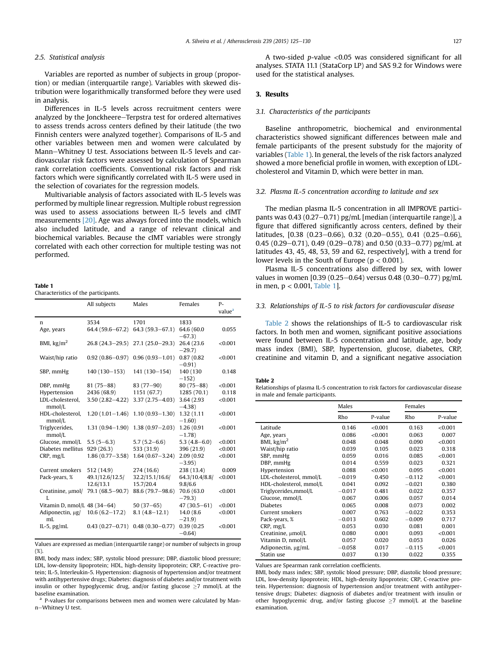#### 2.5. Statistical analysis

Variables are reported as number of subjects in group (proportion) or median (interquartile range). Variables with skewed distribution were logarithmically transformed before they were used in analysis.

Differences in IL-5 levels across recruitment centers were analyzed by the Jonckheere–Terpstra test for ordered alternatives to assess trends across centers defined by their latitude (the two Finnish centers were analyzed together). Comparisons of IL-5 and other variables between men and women were calculated by Mann-Whitney U test. Associations between IL-5 levels and cardiovascular risk factors were assessed by calculation of Spearman rank correlation coefficients. Conventional risk factors and risk factors which were significantly correlated with IL-5 were used in the selection of covariates for the regression models.

Multivariable analysis of factors associated with IL-5 levels was performed by multiple linear regression. Multiple robust regression was used to assess associations between IL-5 levels and cIMT measurements [\[20\].](#page-5-0) Age was always forced into the models, which also included latitude, and a range of relevant clinical and biochemical variables. Because the cIMT variables were strongly correlated with each other correction for multiple testing was not performed.

#### Table 1

Characteristics of the participants.

|                              | All subjects        | Males               | Females                 | $P-$<br>value <sup>a</sup> |
|------------------------------|---------------------|---------------------|-------------------------|----------------------------|
|                              | 3534                | 1701                | 1833                    |                            |
| n<br>Age, years              | 64.4 (59.6-67.2)    | $64.3(59.3 - 67.1)$ | 64.6 (60.0              | 0.055                      |
|                              |                     |                     | $-67.3)$                |                            |
| BMI, $\text{kg/m}^2$         | $26.8(24.3-29.5)$   | $27.1(25.0-29.3)$   | 26.4 (23.6)             | < 0.001                    |
|                              |                     |                     | $-29.7$                 |                            |
| Waist/hip ratio              | $0.92(0.86 - 0.97)$ | $0.96(0.93 - 1.01)$ | 0.87(0.82)              | < 0.001                    |
|                              |                     |                     | $-0.91)$                |                            |
| SBP, mmHg                    | 140 (130-153)       | 141 (130-154)       | 140 (130                | 0.148                      |
|                              |                     |                     | $-152)$                 |                            |
| DBP, mmHg                    | $81(75 - 88)$       | $83(77-90)$         | $80(75 - 88)$           | < 0.001                    |
| Hypertension                 | 2436 (68.9)         | 1151 (67.7)         | 1285 (70.1)             | 0.118                      |
| LDL-cholesterol,             | $3.50(2.82 - 4.22)$ | $3.37(2.75 - 4.03)$ | 3.64 (2.93)             | < 0.001                    |
| mmol/L                       |                     |                     | $-4.38$ )               |                            |
| HDL-cholesterol,<br>mmol/L   | $1,20(1,01-1,46)$   | $1.10(0.93 - 1.30)$ | 1.32 (1.11<br>$-1.60$ ) | < 0.001                    |
| Triglycerides,               | $1.31(0.94 - 1.90)$ | $1.38(0.97 - 2.03)$ | 1.26 (0.91              | < 0.001                    |
| mmol/L                       |                     |                     | $-1.78$                 |                            |
| Glucose, mmol/L              | $5.5(5-6.3)$        | $5.7(5.2 - 6.6)$    | $5.3(4.8 - 6.0)$        | < 0.001                    |
| Diabetes mellitus            | 929(26.3)           | 533 (31.9)          | 396 (21.9)              | < 0.001                    |
| CRP, mg/L                    | $1.86(0.77 - 3.58)$ | $1.64(0.67 - 3.24)$ | 2.09 (0.92)             | < 0.001                    |
|                              |                     |                     | $-3.95)$                |                            |
| Current smokers              | 512 (14.9)          | 274 (16.6)          | 238 (13.4)              | 0.009                      |
| Pack-years, %                | 49.1/12.6/12.5/     | 32.2/15.1/16.6/     | 64.3/10.4/8.8/          | < 0.001                    |
|                              | 12.6/13.1           | 15.7/20.4           | 9.8/6.6                 |                            |
| Creatinine, µmol/            | 79.1 (68.5-90.7)    | 88.6 (79.7-98.6)    | 70.6 (63.0              | < 0.001                    |
| L                            |                     |                     | $-79.3)$                |                            |
| Vitamin D, nmol/L 48 (34-64) |                     | $50(37-65)$         | $47(30.5 - 61)$         | < 0.001                    |
| Adiponectin, ug/             | $10.6(6.2 - 17.2)$  | $8.1(4.8 - 12.1)$   | 14.0 (8.6               | < 0.001                    |
| mI.                          |                     |                     | $-21.9$                 |                            |
| IL-5, $pg/mL$                | $0.43(0.27 - 0.71)$ | $0.48(0.30 - 0.77)$ | 0.39(0.25)              | < 0.001                    |
|                              |                     |                     | $-0.64)$                |                            |

Values are expressed as median (interquartile range) or number of subjects in group (%).

BMI, body mass index; SBP, systolic blood pressure; DBP, diastolic blood pressure; LDL, low-density lipoprotein; HDL, high-density lipoprotein; CRP, C-reactive protein; IL-5, Interleukin-5. Hypertension: diagnosis of hypertension and/or treatment with antihypertensive drugs; Diabetes: diagnosis of diabetes and/or treatment with insulin or other hypoglycemic drug, and/or fasting glucose  $\geq$ 7 mmol/L at the baseline examination.

<sup>a</sup> P-values for comparisons between men and women were calculated by Mann-Whitney U test.

A two-sided p-value <0.05 was considered significant for all analyses. STATA 11.1 (StataCorp LP) and SAS 9.2 for Windows were used for the statistical analyses.

## 3. Results

## 3.1. Characteristics of the participants

Baseline anthropometric, biochemical and environmental characteristics showed significant differences between male and female participants of the present substudy for the majority of variables (Table 1). In general, the levels of the risk factors analyzed showed a more beneficial profile in women, with exception of LDLcholesterol and Vitamin D, which were better in man.

## 3.2. Plasma IL-5 concentration according to latitude and sex

The median plasma IL-5 concentration in all IMPROVE participants was  $0.43$  ( $0.27-0.71$ ) pg/mL [median (interquartile range)], a figure that differed significantly across centers, defined by their latitudes,  $[0.38 \ (0.23-0.66), 0.32 \ (0.20-0.55), 0.41 \ (0.25-0.66),$ 0.45 (0.29–0.71), 0.49 (0.29–0.78) and 0.50 (0.33–0.77) pg/mL at latitudes 43, 45, 48, 53, 59 and 62, respectively], with a trend for lower levels in the South of Europe ( $p < 0.001$ ).

Plasma IL-5 concentrations also differed by sex, with lower values in women [0.39 (0.25-0.64) versus 0.48 (0.30-0.77) pg/mL in men, p < 0.001, Table 1].

### 3.3. Relationships of IL-5 to risk factors for cardiovascular disease

Table 2 shows the relationships of IL-5 to cardiovascular risk factors. In both men and women, significant positive associations were found between IL-5 concentration and latitude, age, body mass index (BMI), SBP, hypertension, glucose, diabetes, CRP, creatinine and vitamin D, and a significant negative association

Table 2

| Relationships of plasma IL-5 concentration to risk factors for cardiovascular disease |  |
|---------------------------------------------------------------------------------------|--|
| in male and female participants.                                                      |  |

|                         | Males    |            | Females  |         |
|-------------------------|----------|------------|----------|---------|
|                         | Rho      | P-value    | Rho      | P-value |
| Latitude                | 0.146    | ${<}0.001$ | 0.163    | < 0.001 |
| Age, years              | 0.086    | < 0.001    | 0.063    | 0.007   |
| BMI, $\text{kg/m}^2$    | 0.048    | 0.048      | 0.090    | < 0.001 |
| Waist/hip ratio         | 0.039    | 0.105      | 0.023    | 0.318   |
| SBP, mmHg               | 0.059    | 0.016      | 0.085    | < 0.001 |
| DBP, mmHg               | 0.014    | 0.559      | 0.023    | 0.321   |
| Hypertension            | 0.088    | < 0.001    | 0.095    | < 0.001 |
| LDL-cholesterol, mmol/L | $-0.019$ | 0.450      | $-0.112$ | < 0.001 |
| HDL-cholesterol, mmol/L | 0.041    | 0.092      | $-0.021$ | 0.380   |
| Triglycerides,mmol/L    | $-0.017$ | 0.481      | 0.022    | 0.357   |
| Glucose, mmol/L         | 0.067    | 0.006      | 0.057    | 0.014   |
| <b>Diabetes</b>         | 0.065    | 0.008      | 0.073    | 0.002   |
| Current smokers         | 0.007    | 0.763      | $-0.022$ | 0.353   |
| Pack-years, %           | $-0.013$ | 0.602      | $-0.009$ | 0.717   |
| CRP, mg/L               | 0.053    | 0.030      | 0.081    | 0.001   |
| Creatinine, umol/L      | 0.080    | 0.001      | 0.093    | < 0.001 |
| Vitamin D, nmol/L       | 0.057    | 0.020      | 0.053    | 0.026   |
| Adiponectin, µg/mL      | $-0.058$ | 0.017      | $-0.115$ | < 0.001 |
| Statin use              | 0.037    | 0.130      | 0.022    | 0.355   |

Values are Spearman rank correlation coefficients.

BMI, body mass index; SBP, systolic blood pressure; DBP, diastolic blood pressure; LDL, low-density lipoprotein; HDL, high-density lipoprotein; CRP, C-reactive protein. Hypertension: diagnosis of hypertension and/or treatment with antihypertensive drugs; Diabetes: diagnosis of diabetes and/or treatment with insulin or other hypoglycemic drug, and/or fasting glucose  $\geq$ 7 mmol/L at the baseline examination.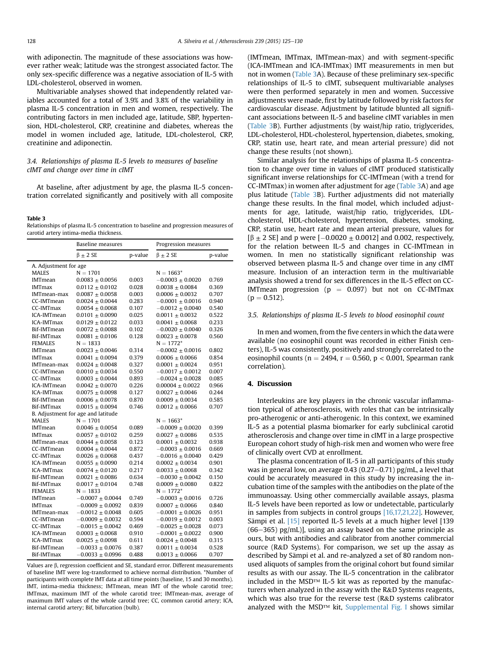with adiponectin. The magnitude of these associations was however rather weak; latitude was the strongest associated factor. The only sex-specific difference was a negative association of IL-5 with LDL-cholesterol, observed in women.

Multivariable analyses showed that independently related variables accounted for a total of 3.9% and 3.8% of the variability in plasma IL-5 concentration in men and women, respectively. The contributing factors in men included age, latitude, SBP, hypertension, HDL-cholesterol, CRP, creatinine and diabetes, whereas the model in women included age, latitude, LDL-cholesterol, CRP, creatinine and adiponectin.

## 3.4. Relationships of plasma IL-5 levels to measures of baseline cIMT and change over time in cIMT

At baseline, after adjustment by age, the plasma IL-5 concentration correlated significantly and positively with all composite

#### Table 3

Relationships of plasma IL-5 concentration to baseline and progression measures of carotid artery intima-media thickness.

|                       | Baseline measures                  |         | Progression measures |         |  |
|-----------------------|------------------------------------|---------|----------------------|---------|--|
|                       | $\beta \pm 2$ SE                   | p-value | $\beta \pm 2$ SE     | p-value |  |
| A. Adjustment for age |                                    |         |                      |         |  |
| <b>MALES</b>          | $N = 1701$                         |         | $N = 1663*$          |         |  |
| <b>IMTmean</b>        | $0.0083 \pm 0.0056$                | 0.003   | $-0.0003 + 0.0020$   | 0.769   |  |
| <b>IMTmax</b>         | $0.0112 \pm 0.0102$                | 0.028   | $0.0038 \pm 0.0084$  | 0.369   |  |
| IMTmean-max           | $0.0087 \pm 0.0058$                | 0.003   | $0.0006 \pm 0.0032$  | 0.707   |  |
| CC-IMTmean            | $0.0024 \pm 0.0044$                | 0.283   | $-0.0001 \pm 0.0016$ | 0.940   |  |
| CC-IMTmax             | $0.0054 \pm 0.0068$                | 0.107   | $-0.0012 \pm 0.0040$ | 0.540   |  |
| ICA-IMTmean           | $0.0101 \pm 0.0090$                | 0.025   | $0.0011 \pm 0.0032$  | 0.522   |  |
| <b>ICA-IMTmax</b>     | $0.0129 \pm 0.0122$                | 0.033   | $0.0041 \pm 0.0068$  | 0.233   |  |
| Bif-IMTmean           | $0.0072 \pm 0.0088$                | 0.102   | $-0.0020 \pm 0.0040$ | 0.326   |  |
| Bif-IMTmax            | $0.0081 \pm 0.0106$                | 0.128   | $0.0023 \pm 0.0078$  | 0.560   |  |
| <b>FEMALES</b>        | $N = 1833$                         |         | $N = 1772*$          |         |  |
| <b>IMTmean</b>        | $0.0023 \pm 0.0046$                | 0.314   | $-0.0002 \pm 0.0016$ | 0.802   |  |
| <b>IMTmax</b>         | $0.0041 \pm 0.0094$                | 0.379   | $0.0006 \pm 0.0066$  | 0.854   |  |
| IMTmean-max           | $0.0024 \pm 0.0048$                | 0.327   | $0.0001 \pm 0.0024$  | 0.951   |  |
| CC-IMTmean            | $0.0010 \pm 0.0034$                | 0.550   | $-0.0017 \pm 0.0012$ | 0.007   |  |
| CC-IMTmax             | $0.0003 \pm 0.0044$                | 0.893   | $-0.0024 \pm 0.0028$ | 0.085   |  |
| ICA-IMTmean           | $0.0042 \pm 0.0070$                | 0.226   | $0.00004 \pm 0.0022$ | 0.966   |  |
| <b>ICA-IMTmax</b>     | $0.0075 \pm 0.0098$                | 0.127   | $0.0027 \pm 0.0046$  | 0.244   |  |
| Bif-IMTmean           | $0.0006 \pm 0.0078$                | 0.870   | $0.0009 \pm 0.0034$  | 0.585   |  |
| Bif-IMTmax            | $0.0015 \pm 0.0094$                | 0.746   | $0.0012 \pm 0.0066$  | 0.707   |  |
|                       | B. Adjustment for age and latitude |         |                      |         |  |
| <b>MALES</b>          | $N = 1701$                         |         | $N = 1663*$          |         |  |
| <b>IMTmean</b>        | $0.0046 \pm 0.0054$                | 0.089   | $-0.0009 \pm 0.0020$ | 0.399   |  |
| <b>IMTmax</b>         | $0.0057 \pm 0.0102$                | 0.259   | $0.0027 \pm 0.0086$  | 0.535   |  |
| IMTmean-max           | $0.0044 \pm 0.0058$                | 0.123   | $0.0001 \pm 0.0032$  | 0.938   |  |
| CC-IMTmean            | $0.0004 \pm 0.0044$                | 0.872   | $-0.0003 \pm 0.0016$ | 0.669   |  |
| CC-IMTmax             | $0.0026 \pm 0.0068$                | 0.437   | $-0.0016 \pm 0.0040$ | 0.429   |  |
| ICA-IMTmean           | $0.0055 \pm 0.0090$                | 0.214   | $0.0002 \pm 0.0034$  | 0.901   |  |
| ICA-IMTmax            | $0.0074 \pm 0.0120$                | 0.217   | $0.0033 \pm 0.0068$  | 0.342   |  |
| Bif-IMTmean           | $0.0021 \pm 0.0086$                | 0.634   | $-0.0030 \pm 0.0042$ | 0.150   |  |
| Bif-IMTmax            | $0.0017 \pm 0.0104$                | 0.748   | $0.0009 \pm 0.0080$  | 0.822   |  |
| <b>FEMALES</b>        | $N = 1833$                         |         | $N = 1772*$          |         |  |
| <b>IMTmean</b>        | $-0.0007 + 0.0044$                 | 0.749   | $-0.0003 \pm 0.0016$ | 0.726   |  |
| <b>IMTmax</b>         | $-0.0009 \pm 0.0092$               | 0.839   | $0.0007 \pm 0.0066$  | 0.840   |  |
| IMTmean-max           | $-0.0012 \pm 0.0048$               | 0.605   | $-0.0001 \pm 0.0026$ | 0.951   |  |
| CC-IMTmean            | $-0.0009 \pm 0.0032$               | 0.594   | $-0.0019 \pm 0.0012$ | 0.003   |  |
| CC-IMTmax             | $-0.0015 \pm 0.0042$               | 0.469   | $-0.0025 \pm 0.0028$ | 0.073   |  |
| ICA-IMTmean           | $0.0003 \pm 0.0068$                | 0.910   | $-0.0001 + 0.0022$   | 0.900   |  |
| ICA-IMTmax            | $0.0025 \pm 0.0098$                | 0.611   | $0.0024 \pm 0.0048$  | 0.315   |  |
| Bif-IMTmean           | $-0.0033 \pm 0.0076$               | 0.387   | $0.0011 \pm 0.0034$  | 0.528   |  |
| Bif-IMTmax            | $-0.0033 \pm 0.0996$               | 0.488   | $0.0013 \pm 0.0066$  | 0.707   |  |

Values are  $\beta$ , regression coefficient and SE, standard error. Different measurements of baseline IMT were log-transformed to achieve normal distribution. \*Number of participants with complete IMT data at all time points (baseline, 15 and 30 months). IMT, intima-media thickness; IMTmean, mean IMT of the whole carotid tree; IMTmax, maximum IMT of the whole carotid tree; IMTmean-max, average of maximum IMT values of the whole carotid tree; CC, common carotid artery; ICA, internal carotid artery; Bif, bifurcation (bulb).

(IMTmean, IMTmax, IMTmean-max) and with segment-specific (ICA-IMTmean and ICA-IMTmax) IMT measurements in men but not in women (Table 3A). Because of these preliminary sex-specific relationships of IL-5 to cIMT, subsequent multivariable analyses were then performed separately in men and women. Successive adjustments were made, first by latitude followed by risk factors for cardiovascular disease. Adjustment by latitude blunted all significant associations between IL-5 and baseline cIMT variables in men (Table 3B). Further adjustments (by waist/hip ratio, triglycerides, LDL-cholesterol, HDL-cholesterol, hypertension, diabetes, smoking, CRP, statin use, heart rate, and mean arterial pressure) did not change these results (not shown).

Similar analysis for the relationships of plasma IL-5 concentration to change over time in values of cIMT produced statistically significant inverse relationships for CC-IMTmean (with a trend for CC-IMTmax) in women after adjustment for age (Table 3A) and age plus latitude (Table 3B). Further adjustments did not materially change these results. In the final model, which included adjustments for age, latitude, waist/hip ratio, triglycerides, LDLcholesterol, HDL-cholesterol, hypertension, diabetes, smoking, CRP, statin use, heart rate and mean arterial pressure, values for  $[\beta \pm 2 \text{ SE}]$  and p were  $[-0.0020 \pm 0.0012]$  and 0.002, respectively, for the relation between IL-5 and changes in CC-IMTmean in women. In men no statistically significant relationship was observed between plasma IL-5 and change over time in any cIMT measure. Inclusion of an interaction term in the multivariable analysis showed a trend for sex differences in the IL-5 effect on CC-IMTmean progression ( $p = 0.097$ ) but not on CC-IMTmax  $(p = 0.512)$ .

#### 3.5. Relationships of plasma IL-5 levels to blood eosinophil count

In men and women, from the five centers in which the data were available (no eosinophil count was recorded in either Finish centers), IL-5 was consistently, positively and strongly correlated to the eosinophil counts ( $n = 2494$ ,  $r = 0.560$ ,  $p < 0.001$ , Spearman rank correlation).

#### 4. Discussion

Interleukins are key players in the chronic vascular inflammation typical of atherosclerosis, with roles that can be intrinsically pro-atherogenic or anti-atherogenic. In this context, we examined IL-5 as a potential plasma biomarker for early subclinical carotid atherosclerosis and change over time in cIMT in a large prospective European cohort study of high-risk men and women who were free of clinically overt CVD at enrollment.

The plasma concentration of IL-5 in all participants of this study was in general low, on average 0.43 (0.27 $-0.71$ ) pg/mL, a level that could be accurately measured in this study by increasing the incubation time of the samples with the antibodies on the plate of the immunoassay. Using other commercially available assays, plasma IL-5 levels have been reported as low or undetectable, particularly in samples from subjects in control groups [\[16,17,21,22\].](#page-5-0) However, Sämpi et al. <a>[\[15\]](#page-5-0)</a> reported IL-5 levels at a much higher level <a>[139]</a>  $(66-365)$  pg/mL)], using an assay based on the same principle as ours, but with antibodies and calibrator from another commercial source (R&D Systems). For comparison, we set up the assay as described by Sämpi et al. and re-analyzed a set of 80 random nonused aliquots of samples from the original cohort but found similar results as with our assay. The IL-5 concentration in the calibrator included in the MSD™ IL-5 kit was as reported by the manufacturers when analyzed in the assay with the R&D Systems reagents, which was also true for the reverse test (R&D systems calibrator analyzed with the MSD™ kit, Supplemental Fig. I shows similar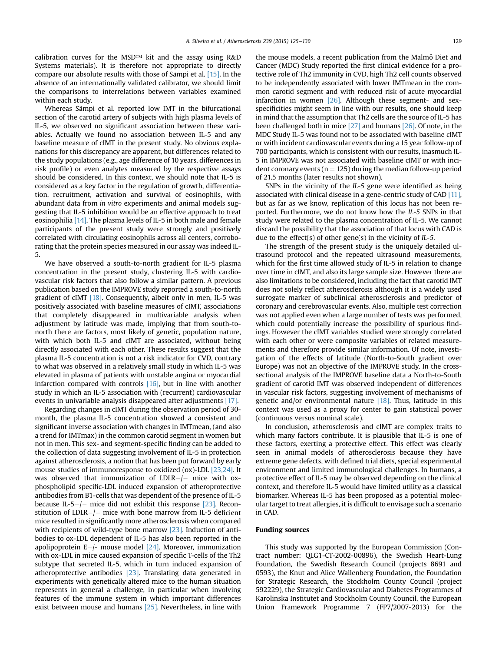calibration curves for the MSD™ kit and the assay using R&D Systems materials). It is therefore not appropriate to directly compare our absolute results with those of Sämpi et al.  $[15]$ . In the absence of an internationally validated calibrator, we should limit the comparisons to interrelations between variables examined within each study.

Whereas Sämpi et al. reported low IMT in the bifurcational section of the carotid artery of subjects with high plasma levels of IL-5, we observed no significant association between these variables. Actually we found no association between IL-5 and any baseline measure of cIMT in the present study. No obvious explanations for this discrepancy are apparent, but differences related to the study populations (e.g., age difference of 10 years, differences in risk profile) or even analytes measured by the respective assays should be considered. In this context, we should note that IL-5 is considered as a key factor in the regulation of growth, differentiation, recruitment, activation and survival of eosinophils, with abundant data from in vitro experiments and animal models suggesting that IL-5 inhibition would be an effective approach to treat eosinophilia [\[14\]](#page-5-0). The plasma levels of IL-5 in both male and female participants of the present study were strongly and positively correlated with circulating eosinophils across all centers, corroborating that the protein species measured in our assay was indeed IL-5.

We have observed a south-to-north gradient for IL-5 plasma concentration in the present study, clustering IL-5 with cardiovascular risk factors that also follow a similar pattern. A previous publication based on the IMPROVE study reported a south-to-north gradient of cIMT [\[18\]](#page-5-0). Consequently, albeit only in men, IL-5 was positively associated with baseline measures of cIMT, associations that completely disappeared in multivariable analysis when adjustment by latitude was made, implying that from south-tonorth there are factors, most likely of genetic, population nature, with which both IL-5 and cIMT are associated, without being directly associated with each other. These results suggest that the plasma IL-5 concentration is not a risk indicator for CVD, contrary to what was observed in a relatively small study in which IL-5 was elevated in plasma of patients with unstable angina or myocardial infarction compared with controls [\[16\]](#page-5-0), but in line with another study in which an IL-5 association with (recurrent) cardiovascular events in univariable analysis disappeared after adjustments [\[17\].](#page-5-0)

Regarding changes in cIMT during the observation period of 30 month, the plasma IL-5 concentration showed a consistent and significant inverse association with changes in IMTmean, (and also a trend for IMTmax) in the common carotid segment in women but not in men. This sex- and segment-specific finding can be added to the collection of data suggesting involvement of IL-5 in protection against atherosclerosis, a notion that has been put forward by early mouse studies of immunoresponse to oxidized (ox)-LDL [\[23,24\].](#page-5-0) It was observed that immunization of  $LDLR - / -$  mice with oxphospholipid specific-LDL induced expansion of atheroprotective antibodies from B1-cells that was dependent of the presence of IL-5 because IL-5- $/$ - mice did not exhibit this response [\[23\]](#page-5-0). Reconstitution of LDLR $-/-$  mice with bone marrow from IL-5 deficient mice resulted in significantly more atherosclerosis when compared with recipients of wild-type bone marrow [\[23\].](#page-5-0) Induction of antibodies to ox-LDL dependent of IL-5 has also been reported in the apolipoprotein  $E-/-$  mouse model [\[24\]](#page-5-0). Moreover, immunization with ox-LDL in mice caused expansion of specific T-cells of the Th2 subtype that secreted IL-5, which in turn induced expansion of atheroprotective antibodies  $[23]$ . Translating data generated in experiments with genetically altered mice to the human situation represents in general a challenge, in particular when involving features of the immune system in which important differences exist between mouse and humans [\[25\]](#page-5-0). Nevertheless, in line with the mouse models, a recent publication from the Malmö Diet and Cancer (MDC) Study reported the first clinical evidence for a protective role of Th2 immunity in CVD, high Th2 cell counts observed to be independently associated with lower IMTmean in the common carotid segment and with reduced risk of acute myocardial infarction in women [\[26\]](#page-5-0). Although these segment- and sexspecificities might seem in line with our results, one should keep in mind that the assumption that Th2 cells are the source of IL-5 has been challenged both in mice [\[27\]](#page-5-0) and humans [\[26\]](#page-5-0). Of note, in the MDC Study IL-5 was found not to be associated with baseline cIMT or with incident cardiovascular events during a 15 year follow-up of 700 participants, which is consistent with our results, inasmuch IL-5 in IMPROVE was not associated with baseline cIMT or with incident coronary events ( $n = 125$ ) during the median follow-up period of 21.5 months (later results not shown).

SNPs in the vicinity of the IL-5 gene were identified as being associated with clinical disease in a gene-centric study of CAD [\[11\],](#page-5-0) but as far as we know, replication of this locus has not been reported. Furthermore, we do not know how the IL-5 SNPs in that study were related to the plasma concentration of IL-5. We cannot discard the possibility that the association of that locus with CAD is due to the effect(s) of other gene(s) in the vicinity of  $IL-5$ .

The strength of the present study is the uniquely detailed ultrasound protocol and the repeated ultrasound measurements, which for the first time allowed study of IL-5 in relation to change over time in cIMT, and also its large sample size. However there are also limitations to be considered, including the fact that carotid IMT does not solely reflect atherosclerosis although it is a widely used surrogate marker of subclinical atherosclerosis and predictor of coronary and cerebrovascular events. Also, multiple test correction was not applied even when a large number of tests was performed, which could potentially increase the possibility of spurious findings. However the cIMT variables studied were strongly correlated with each other or were composite variables of related measurements and therefore provide similar information. Of note, investigation of the effects of latitude (North-to-South gradient over Europe) was not an objective of the IMPROVE study. In the crosssectional analysis of the IMPROVE baseline data a North-to-South gradient of carotid IMT was observed independent of differences in vascular risk factors, suggesting involvement of mechanisms of genetic and/or environmental nature  $[18]$ . Thus, latitude in this context was used as a proxy for center to gain statistical power (continuous versus nominal scale).

In conclusion, atherosclerosis and cIMT are complex traits to which many factors contribute. It is plausible that IL-5 is one of these factors, exerting a protective effect. This effect was clearly seen in animal models of atherosclerosis because they have extreme gene defects, with defined trial diets, special experimental environment and limited immunological challenges. In humans, a protective effect of IL-5 may be observed depending on the clinical context, and therefore IL-5 would have limited utility as a classical biomarker. Whereas IL-5 has been proposed as a potential molecular target to treat allergies, it is difficult to envisage such a scenario in CAD.

## Funding sources

This study was supported by the European Commission (Contract number: QLG1-CT-2002-00896), the Swedish Heart-Lung Foundation, the Swedish Research Council (projects 8691 and 0593), the Knut and Alice Wallenberg Foundation, the Foundation for Strategic Research, the Stockholm County Council (project 592229), the Strategic Cardiovascular and Diabetes Programmes of Karolinska Institutet and Stockholm County Council, the European Union Framework Programme 7 (FP7/2007-2013) for the